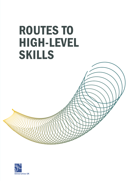# ROUTES TO HIGH-LEVEL **SKILLS**



**CONTROLLER CONTROLLER CONTROLLER CONTROLLER CONTROLLER CONTROLLER CONTROLLER CONTROLLER CONTROLLER CONTROLLER CONTROLLER CONTROLLER CONTROLLER CONTROLLER CONTROLLER CONTROLLER CONTROLLER CONTROLLER CONTROLLER CONTROLLER C**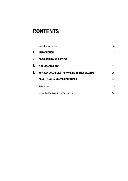# **CONTENTS**

|    | Executive summary                                   | 1  |
|----|-----------------------------------------------------|----|
| 1. | <b>INTRODUCTION</b>                                 | 4  |
| 2. | <b>BACKGROUND AND CONTEXT</b>                       | 7  |
| 3. | <b>WHY COLLABORATE?</b>                             | 11 |
| 4. | <b>HOW CAN COLLABORATIVE WORKING BE ENCOURAGED?</b> | 23 |
| 5. | <b>CONCLUSIONS AND CONSIDERATIONS</b>               | 31 |
|    | References                                          | 35 |
|    | Appendix: Participating organisations               | 36 |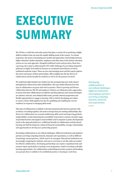# **EXECUTIVE SUMMARY**

The UK has a world-class university system that plays a crucial role in producing a highly skilled workforce that can meet the rapidly shifting needs of the country. To remain responsive, the sector is developing new models and approaches. Partnerships between higher education, further education, employers and other parts of the tertiary education system are one such approach. Alongside traditional routes and provision, these have a growing role to play in addressing the UK's skills challenges by providing integrated pathways to higher level skills for learners on vocational and technical, as well as traditional academic routes. These are new and emerging areas and this report explores the extent and nature of these partnerships, offers insights into the key drivers of collaboration and the benefits for students as well as for the partners involved.

We undertook eight detailed case studies (see the accompanying case study report) and gathered evidence from other stakeholders. The case studies illustrate how this type of collaboration can grow and work in practice. There is growing and diverse collaboration between HE, FE and employers. Partners are taking innovative approaches to ensure that their collaborations are effective and that pathways and courses developed are industry-relevant, meet defined skills needs, provide coherent progression and flexible opportunities to engage in learning. This is vital for developing new talent to ensure a future skills pipeline but also for upskilling and reskilling the current workforce in response to changing skills needs.

This type of collaboration is unlikely to develop spontaneously between partners with no history of working together, but tend to emerge from pre-existing relationships. Key drivers for collaboration are economic (addressing skills needs and improving graduate employability), social (enhancing the accessibility of provision to attract a broader range of potential learners and support social mobility) and in response to policy developments (such as the apprenticeship levy). Additional benefits of collaboration include shared learning and staff development, enhanced financial sustainability, stronger relationships and opportunities to develop new partnership projects.

Developing collaborations is not without challenges. Different institutions and employer partners can bring competing interests, demands and expectations, as well as different terminology and perspectives, which need to be managed. Educational institutions are increasingly competing for students, and ways to overcome or set this aside are needed for effective collaboration. Developing partnerships can require a significant time and resource input, particularly if creating a new programme, model of working or flexible learning opportunities. For collaborations undertaking innovative projects and breaking new ground, there is unlikely to be established practice or learning to work from.

*Developing collaborations is not without challenges. Different institutions and employer partners can bring competing interests, demands and expectations.*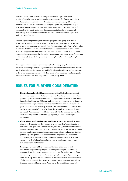The case studies overcame these challenges to create strong collaborations. Key ingredients for success include: finding spaces (subject, level or target student) for collaboration where institutions do not see themselves in competition; early identification of a shared goal or vision; recognising and respecting the strengths of partners; identifying and mapping progression routes; and focusing on the specific skills needs of the locality, identified through substantial employer engagement and working with other stakeholders such as Local Enterprise Partnerships (LEPs) and other sector bodies.

Partnership working of this type is still emerging and developing, particularly in response to shifting and diverse educational policy agendas across the UK, such as an increase in new apprenticeship standards and reviews of post-16 and post-18 education in England. Yet there are clear potential benefits and opportunities to expand and extend such approaches alongside more traditional routes and modes of study. Below we set out issues to consider further to help support and grow these types of important collaborations between tertiary education and employers to meet needs for higher level skills.

This report contains case studies from across the UK, recognising the diversity of initiatives and settings, and that higher education institutions across the whole country are developing innovative approaches and looking beyond traditional models. In terms of the issues for consideration set out below, much of this area is devolved and specific recommendations made refer largely to an English policy context.

# ISSUES FOR FURTHER CONSIDERATION

- **• Identifying regional skills needs:** A clearly identified skills need is one of the main springboards to collaborative working. Therefore, it is important that partnerships have access to granular data that pinpoints the issues in their locality. Gathering intelligence on skills gaps and shortages is, however, resource intensive and individual employers and providers are unlikely to have the resources in place to undertake the necessary research. The government should ensure that this issue is the principal focus of Skills Advisory Panels in England as they are developed. Panels should be enabled to work with FE-HE-employer partnerships to share intelligence and ensure that appropriate pathways are developed in response.
- **• Identifying a local focal point for collaboration:** A key strength of some of the models examined is the presence of a 'one stop shop' or single point of contact for employers with a skills need and/or learning providers with expertise in a particular skill area. Identifying who, locally, can help to broker introductions between employers and education providers could help co-ordinate and facilitate partnership development and would streamline the process and ensure that appropriate partners were connected. LEPs in England have a role to play in supporting such collaborations and ensuring that employers are signposted to focal points where they exist.
- **• Raising awareness of the opportunities and pathways to HE:** The HE and FE partnerships highlighted here provide important benefits to students, giving them better access to information on the options open to them across a range of providers. Further encouraging these types of partnerships could play a key role in enabling students to make choices across different levels of education to best suit their needs. This is particularly important for students from non-traditional backgrounds. As set out in the latest UK government's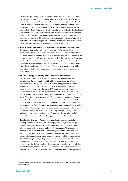careers strategy for England *Making the most of everyone's skills and talents*, 1 the National Careers Service must also proactively raise awareness of new routes to HE and career and skills development – among young people in schools and colleges, and adults in the workplace. It must provide appropriate information, advice and guidance to enable individuals to make informed choices about the best route for them. Partnerships developing pathways to higher level skills should work with widening participation teams and programmes such as the National Collaborative Outreach Programme, which is targeting young people with the potential to progress to HE, and their parents, to raise awareness of alternative routes into HE being developed. This could help partnerships understand barriers to participation better and design tailored provision accordingly.

**• Role of regulatory bodies in encouraging partnership development:** Partnerships developing pathways to higher level skills can contribute to wider strategic objectives, such as widening participation in HE, improved graduate outcomes and social mobility. Ways to recognise the value and contribution of such partnerships within performance measures – such as the Teaching Excellence and Student Outcomes Framework (TEF) – and other regulatory mechanisms (such as access and participation plans for English institutions) should be investigated. At the least, regulators and funders should be alert to barriers that may stifle innovation or the flexibility for partners to work together where an opportunity has been identified.

**• Funding to support development and increase reach:** Most of the collaborations identified in this report have grown out of pre-existing partnerships. But they require considerable investment in terms of time and resource to develop. The ability to deliver learning provision in flexible ways is paramount if learners from a range of backgrounds, including those in the workplace, are to be engaged. This can also require considerable investment to create the necessary infrastructure, such as capital funding for industry-embedded delivery centres and/or satellite sites within local communities. Both of these factors mean there is a significant opportunity for national funders to catalyse the development of more such partnerships. The Office for Students (OfS) in England and other UK funding bodies should consider how best their investments in skills development can support partnership approaches that build on pre-existing relationships where real opportunities can be realised. Investment in specific models, such as Institutes of Technology in England, is significant and welcome. Further investment in a range of models has the potential to unlock a diversity of important and innovative approaches across the country.

**• Funding for learners:** Current funding mechanisms are tailored in favour of study for full qualifications. This leaves a gap for funding that encourages flexible/progressive learning, where learners can study in bite-sized chunks, with the opportunity to step-on and step-off programmes. There appears to be scope to use some of the collaborative arrangements that we have identified as potential test-beds to pilot targeted financial incentives. This might include preferential loan repayment terms (as recommended by UUK in response to the Post-18 Funding Review), testing modular funding arrangements and/or more flexible use of the apprenticeship levy. The joint UUK and CBI project on the economic case for flexible learning is due to report, with specific recommendations aimed at encouraging more flexible approaches to learning by autumn 2018. The report will set out how this particular recommendation can be further progressed.

<sup>1</sup> See [www.gov.uk/government/publications/careers-strategy-making-the-most-of-everyones](https://www.gov.uk/government/publications/careers-strategy-making-the-most-of-everyones-skills-and-talents)[skills-and-talents](https://www.gov.uk/government/publications/careers-strategy-making-the-most-of-everyones-skills-and-talents)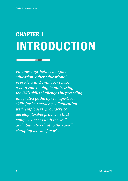# CHAPTER 1 INTRODUCTION

*Partnerships between higher education, other educational providers and employers have a vital role to play in addressing the UK's skills challenges by providing integrated pathways to high-level skills for learners. By collaborating with employers, providers can develop flexible provision that equips learners with the skills and ability to adapt to the rapidly changing world of work.*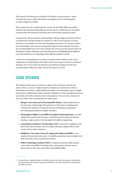This report by CFE Research on behalf of UUK follows *Forging Futures*,<sup>2</sup> which examined the ways in which universities and employers were working together to improve higher level skills.

This research sets out to understand the current role that HEIs fulfil in providing technical and vocational skills pathways and the extent to which these are developed in partnership with businesses and other parts of the tertiary education system.

It explores the extent and nature of partnerships, offering insights into the key drivers of collaboration and the benefits for students as well as for the partners involved. Drawing on case studies of current and emerging good practice, the research explores how partnerships evolve and are subsequently supported and sustained. The report has a strong English focus, but it also examines the issues across the nations of the UK, identifying common challenges and motivating factors and highlighting the different ways that institutions are responding within different political contexts.

A series of recommendations are made to stimulate further debate on the role of collaboration in addressing the UK's skills needs in the context of reforms to technical education, the review of post-18 education and funding in England and the focus on enhancing the skills base within each of the nations in the UK.

# CASE STUDIES

The findings in this report are based on a rapid review of relevant research and policy evidence, a survey of higher education institutions and interviews with key stakeholders and learners. Eight detailed case studies were undertaken to give an insight into the type of collaborations either currently established or under development between universities, the further education sector and employers. You can read a summary of each case study in the accompanying case study report.

- **1. Bangor University and Grŵp Llandrillo Menai.** A partnership between the University and the largest FE institution in Wales that is enabling closer working with employers on regional economic development programmes and widening participation in higher education.
- **2. Birmingham Higher Level Skills in Engineering Programme.** A unique collaboration between the FE sector, a Russell Group university and industry, creating a single system to develop higher level skills in engineering.
- **3. Lincolnshire Institute of Technology (LIT).** A joint bid to establish an LIT that involves the university, all seven further education colleges (FECs) in the county and two major employers.
- **4. Middlesex University Centre for Apprenticeships and Skills.** A new, employer-focused university centre to establish progression routes to higher level skills and widen access to professional careers.
- **5. MIRA Technology Institute (MTI).** A bespoke automotive skills training centre sited on the MIRA Technology Park, with industry-relevant courses delivered by an FEC, three universities and HORIBA MIRA.

<sup>2</sup> *Forging Futures: Building higher level skills through university and employer collaboration* was produced by CFE Research and jointly published by the UK Commission for Employment and Skills and UUK.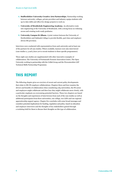- **6. Staffordshire University Creative Arts Partnerships.** Partnership working between university, colleges, private providers and industry equips students with up-to-date skills and offers live design projects to work on.
- **7. University of Strathclyde Engineering Academy.** An alternative route into engineering at the University of Strathclyde, with a strong focus on widening access and creating work-ready graduates.
- **8. University Campus St Albans.** A joint venture between the University of Hertfordshire and Oaklands College to provide flexible, part-time and employerdriven HE provision.

Interviews were conducted with representatives from each university and at least one of the partners for all case studies. Where available, learners were also interviewed (case studies 2, 3 and 5 have yet to recruit students to these specific programmes).

These eight case studies are supplemented with other innovative examples of collaboration: The University of Portsmouth Forensic Innovation Centre, The Open University working in partnership with the Collab Group and the Worcestershire LEP Technical Skills Partnership Programme.

# THIS REPORT

The following chapter gives an overview of recent and current policy developments that relate to HE-FE-employer collaborations. Chapters three and four examine the drivers and benefits of collaboration when considering *why* universities, the FE sector and employers might collaborate and then *how* they might collaborate more closely, with a particular emphasis on overcoming potential barriers. These two chapters are based on the thoughts and experiences of interviewees from each of the case studies as well as additional participants from three universities, one college, two LEPs and one regional apprenticeship support agency. Chapter five concludes with some broad messages and considers potential implications for funding, regulation and policy, based on education and employer interviews and the thoughts of key stakeholders gained through a workshop held for them to discuss their thoughts on this type of collaboration.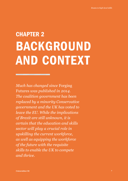# CHAPTER 2 BACKGROUND AND CONTEXT

<u>ymmunummunummun</u>

*Much has changed since* Forging Futures *was published in 2014. The coalition government has been replaced by a minority Conservative government and the UK has voted to leave the EU. While the implications of Brexit are still unknown, it is certain that the education and skills sector will play a crucial role in upskilling the current workforce, as well as equipping the workforce of the future with the requisite skills to enable the UK to compete and thrive.*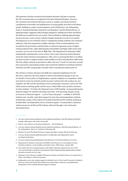The important role that vocational and technical education will play in assuring the UK's economic future is recognised in the latest Industrial Strategy.<sup>3</sup> However, the vocational and technical education system is complex and characterised by a proliferation of providers and qualifications of varying quality and value in the labour market. Building on earlier recommendations of the Wolf Review,<sup>4</sup> the Independent Panel on Technical Education chaired by Lord Sainsbury<sup>5</sup> and The Richard Review of Apprenticeships<sup>6</sup> suggested radical changes designed to simplify the system and deliver the skills most needed for the 21st century. These included re-defining apprenticeship *frameworks* into a series of clear, industry-backed *standards* at Levels 2 to 8 and the development of 15 new technical routes to complement existing academic and vocational pathways, with clear progression to higher education. These recommendations were accepted by the government and their plans to cultivate progression routes to higherearning technical roles, while addressing the intermediate and higher skills needs of the economy, were set out in the Post-16 Skills Plan.7 The Department for Education (DfE) subsequently commissioned a review of how Level 4 and 5 classroom-based education meets the needs of learners and employers, with a view to ensuring that there is excellent provision in place to support student social mobility as well as meeting future skills needs. The first colleges and post-16 providers to deliver the new T Levels<sup>8</sup> in 2020 have recently been announced, representing another step towards the ambition to transform technical education and offer young people a broader choice of progression options post-16.

The reforms to tertiary education and skills have important implications for the HE sector, which has also been subject to reform and landmark changes to the way it is funded. Current policy in England places a greater emphasis on competition, choice and value for money for students and the tax payer<sup>9</sup> and has led to the creation of a new regulator, the OfS, and the introduction of new performance measures, such as the TEF, which assesses teaching quality and the ways in which HEIs ensure positive outcomes for their students.<sup>10</sup> In Wales, the Diamond review of HE funding<sup>11</sup> recommended greater financial support for students attending university, with upcoming changes seeing an increase in financial support – a mix of loans and grants – available to all Welsh students and, crucially, equivalent support for part-time and postgraduate students. Scotland has a policy of free tuition for Scottish domiciled and EU students studying at Scottish HEIs. An independent review of student support<sup>12</sup> recommended a minimum student income for all HE and FE students, delivered through a mix of bursaries and student loans.

- 6 Richard, D (2012) *The Richard Review of Apprenticeships.* London: School for Start-ups.
- 7 [www.gov.uk/government/publications/post-16-skills-plan-and-independent-report](https://www.gov.uk/government/publications/post-16-skills-plan-and-independent-report-on-technical-education)[on-technical-education](https://www.gov.uk/government/publications/post-16-skills-plan-and-independent-report-on-technical-education)
- 8 [www.gov.uk/government/publications/introduction-of-t-levels/introduction-of-t-levels](https://www.gov.uk/government/publications/introduction-of-t-levels/introduction-of-t-levels)
- 9 Department for Business, Innovation and Skills (2016) *Success as a knowledge economy: Teaching excellence, social mobility and student choice.* White Paper. London: BIS.
- 10 Universities UK (2017) *Implementation of the Higher Education Research Act 2017* UUK [www.universitiesuk.ac.uk/policy-and-analysis/reports/Pages/briefing-implementation-higher](https://www.universitiesuk.ac.uk/policy-and-analysis/reports/Pages/briefing-implementation-higher-education-research-act-2017.aspx)[education-research-act-2017.aspx](https://www.universitiesuk.ac.uk/policy-and-analysis/reports/Pages/briefing-implementation-higher-education-research-act-2017.aspx)
- 11 Diamond, I (2016*) Review of Higher Education Funding and Student Finance Arrangements in Wales: Final Report*. Welsh Government.
- 12 Independent review into student support in Scotland (2017) *A New Social Contract for Students: Fairness, Parity and Clarity* The Scottish Government [https://beta.gov.scot/publications/](https://beta.gov.scot/publications/independent-review-student-financial-support-scotland/) [independent-review-student-financial-support-scotland/](https://beta.gov.scot/publications/independent-review-student-financial-support-scotland/)

<sup>3</sup> [www.gov.uk/government/uploads/system/uploads/attachment\\_data/file/664563/industrial](https://www.gov.uk/government/uploads/system/uploads/attachment_data/file/664563/industrial-strategy-white-paper-web-ready-version.pdf)[strategy-white-paper-web-ready-version.pdf](https://www.gov.uk/government/uploads/system/uploads/attachment_data/file/664563/industrial-strategy-white-paper-web-ready-version.pdf)

<sup>4</sup> Wolf, A. (2011) *Review of Vocational Education – The Wolf Report.*

<sup>5</sup> [www.gov.uk/government/uploads/system/uploads/attachment\\_data/file/536046/Report\\_of\\_](https://www.gov.uk/government/uploads/system/uploads/attachment_data/file/536046/Report_of_the_Independent_Panel_on_Technical_Education.pdf) [the\\_Independent\\_Panel\\_on\\_Technical\\_Education.pdf](https://www.gov.uk/government/uploads/system/uploads/attachment_data/file/536046/Report_of_the_Independent_Panel_on_Technical_Education.pdf)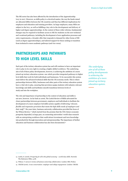The HE sector has also been affected by the introduction of the Apprenticeship Levy in 2017. However, as skills policy is a devolved matter, the way the funds raised are allocated differs between the UK countries and thus has different implications for employers and education and training providers. As large employers, many HEIs are subject to the levy, as well as fulfilling a key role in the development and delivery of higher and degree apprenticeships. In the context of these wider reforms, fundamental changes may be required to facilitate access to HE for students on the new technical and vocational pathways, including the development of new application processes and entry requirements, a broader offer that responds to demand for other forms of HE (such as degree apprenticeships), and tailored support for those seeking to transition from technical to more academic pathways (and vice versa).

# PARTNERSHIPS AND PATHWAYS TO HIGH LEVEL SKILLS

Each part of the tertiary education system has and will continue to have an important role to play in its own right in creating a highly skilled workforce. The underlying aim of all of these policy developments, however, is achieving the ambition of a more joined-up tertiary education system: one which provides integrated pathways to higher level skills that work for both individuals and businesses. To be successful, this system must deliver the advanced technical skills that the UK economy needs. This is where partnerships between HEIs, businesses and other parts of the tertiary education system have a vital role to play, ensuring that provision equips students with industry-relevant knowledge and skills and facilitates smooth transitions between levels of study and into the workplace.

The role and importance of partnership in the context of education and skills is not new, however. As far back as 2006, The Leitch Review of Skills advocated for closer partnerships between government, employers and individuals to facilitate the development of a more employer-led skills system capable of delivering '*relevant, flexible and responsive provision that meets the high skills needs of employers and their staff*.'<sup>13</sup> Six years later, business-university collaboration provided the focus of the Wilson Review,<sup>14</sup> which started from the premise that the UK's future economic prosperity depended, in large part, on connecting universities' world-class research with an enterprising workforce that could attract investment and turn knowledge into productivity through innovation and entrepreneurship. The importance of further education and business collaboration has also been documented.<sup>15</sup>

*The underlying aim of all of these policy developments is achieving the ambition of a more joined-up tertiary education system.* 

<sup>13</sup> Leitch, S. (2006). *Prosperity for all in the global economy – world class skills*. Norwich: The Stationery Office. p.68.

<sup>14</sup> Wilson, T. (2012) *A review of business-university collaboration*. London: BIS, Preface.

<sup>15</sup> UKCES (2016). *A new conversation: employer and college engagement*. London: UKCES.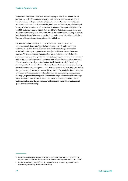The mutual benefits of collaboration between employers and the HE and FE sectors are reflected in developments such as the creation of new Institutes of Technology (IoTs), National Colleges and National Skills Academies. The Institute of Coding is a consortium of more than 60 universities, businesses and industry experts developed to engage industry leaders in HE curriculum development for specialist digital skills. In addition, the government is promoting Local Digital Skills Partnerships to increase collaboration between public, private and third sector organisations and help to address local digital skills needs in more targeted and innovative ways. It is still very early days for many of these industry-facing collaborative initiatives.

HEIs have a long-established tradition of collaboration with employers, for example, through Knowledge Transfer Partnerships, research and development and consultancy. The HE and FE sectors have also been working in partnership to deliver franchising arrangements and other joint activities such as collaborative outreach. There are emerging examples of partnerships built on pre-existing joint activities, such as the development of higher and degree apprenticeships in universities<sup>16</sup> and the focus on flexible progression pathways for students who do not take a traditional A Level route to university, such as London South Bank University's *Families of*  Learning model.<sup>17</sup> However, there is little published evidence of partnerships involving all three stakeholders (employers, FE and HE) and the ways in which they have evolved for the purposes of creating pathways to higher level skills. Similarly, there is a paucity of evidence on the impact these partnerships have on employability, skills gaps and shortages, or productivity and growth. Given the developments underway to encourage increased collaboration between the education sector and industry to address current and future skills needs, the research reported here contributes to filling an important gap in current understanding.

<sup>16</sup> Moss, C. (2016). *Sheffield Hallam University: An Institution Wide Approach to Higher and Degree Apprenticeship based on Regional Skills Needs and Employer Demand*. London: UVAC.

<sup>17</sup> London South Bank University (2017). *Families of Learning: Co-creating local solutions to education system failings.* London: PA Consulting.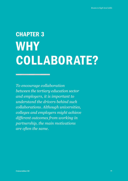# CHAPTER 3 **WHY** COLLABORATE?

*To encourage collaboration between the tertiary education sector and employers, it is important to understand the drivers behind such collaborations. Although universities, colleges and employers might achieve different outcomes from working in partnership, the main motivations are often the same.*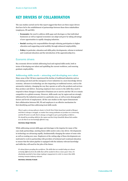# KEY DRIVERS OF COLLABORATION

The case studies carried out for this report suggest that there are three major drivers that have led to the establishment of partnerships between these three stakeholders (employers, FE and HE):

- **• Economic:** the need to address skills gaps and shortages so that individual businesses as well as regional economies can adapt and grow by taking advantage of new opportunities in rapidly changing industries.
- **• Social:** meeting civic responsibilities through widening participation in higher education and supporting social mobility through enhanced employability.
- **• Policy:** in particular, education and skills policy developments, reforms to technical and vocational education and the introduction of the apprenticeship levy.

# Economic drivers

Key economic drivers include addressing local and regional skills needs, both in terms of developing new talent and upskilling the current workforce, and ensuring graduate employability.

### **Addressing skills needs – attracting and developing new talent**

Many areas of the UK have experienced the decline of traditional industries such as coal mining and steel and the emergence of new industries in a more knowledge-driven economy. Advances in technology are also impacting on traditional sectors, such as the automotive industry, changing the way they operate as well as the products and services they produce and deliver. Ensuring employers have access to the skills they need to respond to these changes is imperative if business are to survive and the UK is to remain competitive in a global economy. However, skills needs vary by region and are strongly influenced by the industries present in a particular area, as well as socio-demographic factors and levels of employment. All the case studies in this report demonstrate that collaboration between HE, FE and employers is an effective mechanism for first identifying and then addressing local skills needs:

*There's quite a strong software cluster in North West Wales based just outside of Bangor and there's always a struggle, no matter how many graduates we produce as a university and the FE sector as well, there's always a struggle to get a good quality workforce … We should be providing skills for the region and the Grŵp Llandrillo Menai link enables us to do that in an increasingly effective way.*

#### Interviewee, Bangor University

While addressing current skills gaps and shortages is the impetus for many of the case study partnerships, meeting future skills needs is also a key driver. Developments in technology are advancing rapidly, fundamentally changing the nature of some roles as well as creating new ones. Employers at the cutting edge of these developments are motivated to work in partnership with providers of technical and vocational education to ensure that the talent pipeline is equipped with the industry-relevant knowledge and skills they will need for the jobs of the future:

*It's about future-proofing the workforce. The skills that are needed today are almost certainly different from the skills that will be needed in three or four years' time. It's absolutely essential to have deep employer engagement in order to ensure that skills training remains industry relevant.* 

#### Interviewee, University of Lincoln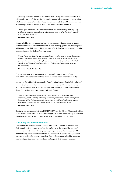In providing vocational and technical courses from Level 3 (and occasionally Level 2), colleges play a vital role in assuring the pipeline of new talent, supporting progression into the workforce and/or further study. The partnership between FE and HE ensures a coherent pathway for those who want to continue to learn beyond Level 4.

*The college is the partner who's bringing new talent into the engineering, basically. They will be covering pretty much all the up to Level 4 provision, it's what they do, it's what FE does, and it does it very well.* 

#### Interviewee, HORIBA MIRA

It is essential for the educational partners to work closely with employers to ensure that the curriculum is relevant to the needs of their industry, particularly with respect to addressing future skills needs. This works most effectively when employers are consulted before and during the design of new curricula:

*What we've done at the university is very much based on all of our programme development consultation with employers. Very positively here, we're working closely with employer partners that we already have to explore programme needs. Also, the study mode. What should the qualifications be underneath it? So, I think what we've developed is meeting the needs locally.* 

### Interviewee, University of Hertfordshire

It is also important to engage employers at regular intervals to ensure that the curriculum remains relevant and responsive to new developments in the industry.

The MTI in the Midlands is an example of an educational centre that is fully embedded in industry, in a region dominated by the automotive sector. The establishment of the MTI was driven by a need to address regional skills shortages as well as to meet the demand for skills from a growing and evolving industry.

*There's a general shortage of engineering, there's another shortage of automotive engineering, and the industry is booming. We've also got electric autonomous disruptions happening within the industry as well. So, there are an awful lot of traditional engineers who don't have the current skills needed, either, for the world we're moving to.* 

#### Interviewee, HORIBA MIRA

The three-way partnership between HORIBA MIRA and the HE and FE sectors is critical to the success of the MTI. The collaborative approach ensures a broad range of provision, tailored to the needs of the industry, is available to learners at different levels.

## **Upskilling the current workforce**

Universities and colleges have a significant role to play in helping businesses develop their workforce from within as well as the workforce of the future. The increased political focus on the apprenticeship agenda, and particularly the introduction of the apprenticeship levy and ambitious targets for the number of apprenticeships created, has encouraged employers to consider how they might use apprenticeships alongside traditional part-time study and short courses to upskill their current workforce.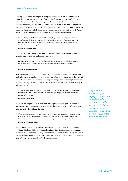Offering opportunities for employees to upskill and/or reskill can help employers to retain their talent. Although the risk of attrition is often given as a reason why employers, particularly small and medium enterprises, do not invest in training for their staff, the case studies suggest that the opposite is true. Investing in the skills of employees enables them to respond to change and evolve in their role so that they remain with their employer. This is particularly important in some regions of the UK, such as North Wales, where the local economy is not as dynamic as in other parts of the country.

*We've got people who have been in post for a very long time in some organisations who are a bit trapped. They can't necessarily afford to take three years off to do a degree and then risk not being able to get back into an employer in the region. The novel route that this [partnership] gives is quite powerful.* 

#### Interviewee, Bangor University

Importantly, investing in staff also ensures they feel valued by the employer, which is said to engender loyalty and support retention.

*Retaining people is important and we know it's not just about salaries, it's about training and development… [offering this] buys that loyalty that helps with staff retention… it demonstrates our commitment to them.* 

### Interviewee, Jarvis Construction

Staff retention is important for employers as it is more cost-effective than recruitment, and by investing in training, employees can be upskilled in a way that meets the needs of the particular company. A key benefit of the partnership model is that employers are able to access training for staff at all levels, with clear progression routes for those seeking to advance in their roles.

*Surely the most cost-effective way for industry is to actually train your own, promote from within, recruit at the bottom. You can't do that unless you've got something that delivers every level of training.*

### Interviewee, HORIBA MIRA

Workforce development is also important for the prosperity of regions, as it helps to attract other businesses to the area in industries that require the same skills. This was a key driver for the MTI and the LIT.

*There are two parts, one, from the industry point of view it makes sense to have people that you've put in a lot of investment in stay, and two, we don't want [in meeting] these higher level skills, our local people to be overlooked. It's very much a case of 'grow local'.* 

#### Interviewee, North Lindsey College

Those seeking to upskill in the workplace have very different needs to young entrants to FE and HE. Their ability to engage in learning is likely to be constrained by a number of factors, including family or caring responsibilities and shift patterns. A key strength of the collaborative approach is that learning can be delivered in flexible ways that facilitate access for learners, irrespective of their circumstances.

*Staff retention is important for employers as it is more cost-effective than recruitment, and by investing in training, employees can be upskilled in a way that meets the needs of the particular company.*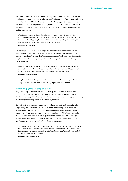Part-time, flexible provision is attractive to employers looking to upskill or reskill their employees. University Campus St Albans (UCSA), a joint venture between the University of Hertfordshire and Oaklands College, provides flexible, part-time degree courses designed to fit around employees' working hours. Similarly Middlesex University has designed their degree apprenticeships to fit around the work demands of their learners and their employers:

*The whole 20 per cent off-the-job [study] comes from that traditional notion of going one day a week to college, but that's not the model we apply at all. We don't really think that's fit for purpose. Actually, part of the trick of 20 per cent is actually making it productive for the employer as well as productive from a learning point of view.* 

### Interviewee, Middlesex University

Co-locating the MTI on the Technology Park ensures workforce development can be delivered to staff working for a range of employer partners on a single site. The MTI partners regard this 'one stop shop' as a major strength of their approach that benefits employers as well as employees by delivering learning at different levels through the partnership.

*Working with the MTI, [employers] will be able to establish a path for their employees to increase their knowledge and skills and retain them within the business…. They can provide options in a single space… that's going to be really beneficial to the employers.* 

Interviewee, Coventry University

For employees, this flexibility can be vital in their decision to embark upon degree-level training – see the learner stories in the accompanying case study report.

### **Enhancing graduate employability**

Employer engagement is also crucial for ensuring that students are work-ready when they graduate from higher level skills programmes. Contributing to curriculum development is a significant part of this. However, employers can be engaged in a variety of other ways to develop the work-readiness of graduates.

Through their collaboration with employer partners, the University of Strathclyde Engineering Academy is able to offer paid summer internships, workshops on employability skills such as CV writing, and presentations about different careers in industry to help prepare students for a career in engineering. This feature is a major benefit of the programme that sets it apart from traditional academic pathways to an engineering degree. As a result, graduates of the Academy are likely to have an advantage over graduates of traditional degree programmes.

*This is something [employers have] been asking for, they've been asking for years, 'What can we do to get a young graduate, work-ready, quicker?' [The partnership] is addressing that. I think that the young person's a much more balanced person, they've got a broader outlook, and I think that's good for organisations.* 

Interviewee, City of Glasgow College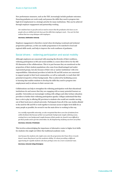New performance measures, such as the TEF, increasingly include graduate outcomes. Ensuring graduates are work-ready and possess the skills they need to progress into high-level employment is a strategic priority for many institutions. This can be achieved through employer engagement and partnership working.

*Our students have to get jobs and we need to ensure that the graduates who leave us are people who are skilled and who have got the skills that employers need… You can't do that without that two-way dialogue with employers.* 

#### Interviewee, Staffordshire University

Employer engagement is therefore crucial when developing vocational and technical progression pathways, as this can enable programmes to be matched to local and regional skills needs, and help to improve the work-readiness of graduates.

# Social drivers – widening participation and social mobility

Although employers are concerned with ensuring the diversity of their workforce, widening participation in HE and social mobility is a more direct driver for the HE-FE dimension of the collaborations. This is in part because they are monitored on the proportion of their student populations who come from disadvantaged and underrepresented groups, but also because of their role as 'anchor institutions' with civic responsibilities. Educational providers in both the FE and HE sectors are concerned to support people in their local communities, as well as nationally, to reach their full potential irrespective of their backgrounds. This is achieved by facilitating access to learning that enables students to develop the skills they need to progress into employment and/or advance in their current role.

Collaborations can help to strengthen the widening participation work that educational institutions do and ensure that they are engaging with as many potential learners as possible. Universities are increasingly working with colleges and other tertiary education providers to further their widening participation agenda. Colleges understand that they have a role to play in offering HE provision to students who would not consider moving out of their local area to attend university. Participants from all of the case studies alluded to the need for HE and FE to work together to increase access to higher level skills for as many people as possible; for several it was the main driver to working in this way.

*As a socially responsible university, we also recognised that there were lots of students from within Scotland, that because of their own particular background, maybe widening access, coming from a care background, maybe because of their gender etc, found it more difficult to get those grades and to get into universities. So, the Engineering Academy was born out of that.* 

#### Interviewee, University of Strathclyde

This involves acknowledging the importance of alternative routes to higher level skills for students who might not follow the traditional academic route.

*Just because the students who might come onto the programme don't have three A-Levels doesn't mean they haven't got the academic ability. It's about providing a different opportunity for capable students who have perhaps come via a more vocational route.* 

Interviewee, University College Birmingham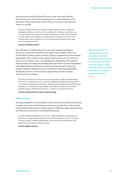Interviewees from both the HE and FE sectors in the case studies felt that, if universities were serious about widening access to and participation in HE, they had to work in partnership with the FE sector to reach as many potential learners as possible.

*We [university and colleges] are mutually working together in areas to support the development of that area. I don't see it as a conflict at all… When you're working in an area that I think is one of the top 10 for indices of deprivation, Stoke, in the UK, and has one of the highest rates of failure to proceed from post-16 education, if we don't work in collaboration with our FE partners, we're not doing the community and the region we live in any favours at all.* 

Interviewee, Staffordshire University

The social drivers of collaboration are not just about widening participation and access to university, but relate more broadly to social mobility and the need for all students to achieve positive outcomes. Employer engagement can also contribute significantly to this. Technical and vocational education can work for learners for whom a more academic route is less appealing. By collaborating with employers, both universities and colleges can strengthen this aspect of their curricula. Emphasising meaningful employer involvement can enhance the attractiveness of courses to students. Employer collaboration can also contribute to enhancing employability through the provision of work experience opportunities and other activities, such as interview workshops.

*We work and operate in a social economic area where there's a high-level of deprivation. Ever since I've worked in the area, I've been incredibly frustrated by the lack of aspiration.*  [...] So, having a physically very attractive, futuristic-looking building in which this learning *takes place […] and having it based at MIRA, where MIRA is regularly in the media for being the employer of the future in our area […] I think, is a real aspiration raiser.* 

Interviewee, North Warwickshire and South Leicestershire College

## Policy drivers

The apprenticeship levy has undoubtedly created a motivator for education institutions to engage more closely with businesses and develop provision that could meet their needs, particularly the large levy-paying employers. Within this, degree apprenticeships are attractive to universities as a potential funding stream.

*Now degree apprenticeships have come about, or apprenticeships more generally come about, there's an opportunity to collaborate on much more equal terms, there's a strategic reason for people to collaborate that perhaps wasn't there after the introduction of the tuition fees. I think it opens up the space again.* 

Interviewee, Middlesex University

*The social drivers of collaboration are not just about widening participation and access to university, but relate more broadly to social mobility and the need for all students to achieve positive outcomes.*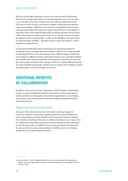This does not just affect universities. Interviewees from HE and FE believed that the best way to engage with employers in the apprenticeship space was to develop a way to be able to meet their varying needs across different qualification levels. This cannot be done by either universities or colleges working alone and therefore requires partnerships.18 Middlesex University has recognised this and has formed a strategic partnership with Capital City College Group (CCCG) to work together to map where their current apprenticeship offers are aligned and where new provision could create progression pathways from Level 3 to 6+. Having one point of contact for employers across the partnership – in this case the Middlesex University Centre for Apprenticeships and Skills – will make it easier to approach employers, and for employers to approach them.

Current and potential future policy developments are particularly pertinent in Lincolnshire where a dominant agricultural industry is likely to be severely impacted on following the UK's exit from the European Union. While the impact of this on the local workforce is difficult to predict, technological changes in the agricultural industry are inevitable. Both education institutions and employers in the region are aware that the county needs to prepare for these changes, and that by working collaboratively they can ensure that their young people, and those who are already in the workplace, develop the skills needed to work in the industry as it evolves.

# ADDITIONAL BENEFITS OF COLLABORATION

In addition to the three key drivers outlined above, HE-FE-employer collaborations can have a number of additional benefits for the partners involved, which provide further motivation to work together. These include opportunities to access funding and resources, share learning and develop staff, strengthen existing partnerships, and expand networks.

# Supporting financial sustainability

Most parts of the education sector have been subject to funding changes over recent years. HEIs have experienced a significant shift from central funding to fee income. Respondents frequently alluded to the fact that the FE sector has suffered from reductions in funding. While access to additional funding was not a major driver for collaboration, partnership working has resulted in financial benefits, particularly for educational providers. In addition to extra income generated from student fees, for some providers the partnership has helped to facilitate access to new funding streams and/or leveraged additional resources.

<sup>18</sup> See also Moss, C. (2016). *Sheffield Hallam University: An Institution Wide Approach to Higher and Degree Apprenticeship based on Regional Skills Needs and Employer Demand*. London: UVAC.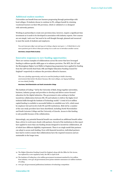## **Additional student numbers**

Universities can benefit from new learners progressing through partnerships with local colleges. If students choose to continue in FE, colleges benefit by retaining vocational learners on their HE provision, which is validated or co-designed with university partners.

Working in partnership to create new provision does, however, require a significant time investment as it needs to be developed in association with industry experts. New courses are not simply 'cash cows' but need to be well thought through, planned and resourced to meet the needs of students and employers.

*You can't just put a flyer out and say we're doing a degree next year. […] I think there's a lot more passions got to drive it than just seeing it as a cash cow to introduce another course.* 

Interviewee, Liverpool Media Academy

### **Innovative responses to new funding opportunities**

There are various examples of collaborations across the sector that have leveraged funding to address specific skills gaps or to enhance provision. The MTI, the LIT and the Birmingham Higher Level Skills in Engineering programme have applied for funding from the LEP Growth Deal Fund, DfE and Higher Education Funding Council for England<sup>19</sup> respectively to enhance the provision offered to learners.

*This was a funding opportunity, and we've used the funding to build a learning environment that's fit for the future because, like most colleges, our legacy buildings are now dated, frankly.* 

Interviewee, North Warwickshire and South Leicestershire College

The Institute of Coding,<sup>20</sup> led by the University of Bath, brings together universities, business, industry groups and providers to develop and deliver sector-focused education for the digital industries. The government is also seeking to further incentivise collaboration between HE, FE and industry to deliver the higher level technical skills through the Institute of Technology model.<sup>21</sup> A total of £170 million capital funding is available to successful bidders to establish new IoTs, which must be employer-led and involve both FE and HE institutions. Bids led by a number of the case study providers have been shortlisted, including North Warwickshire and South Leicester College and the University of Lincoln. Access to this funding is only possible because of the collaboration.

Interestingly, any potential financial benefit was considered an additional benefit rather than a driver to work more closely with partners. Several of the institutions in this report have applied to more than one funding stream designed to incentivise collaboration, all of which have different eligibility requirements. There is no single model that partners can adopt to access such funding. Even with financial incentives, individual partners have had to work to ensure that collaborations have the required resources and are sustainable in the longer term.

<sup>19</sup> The Higher Education Funding Council for England, along with the Office for Fair Access, was replaced by a new regulatory body, the OfS, in April 2018.

<sup>20</sup> The Institute of Coding has a £20 million government investment matched by £20 million from industry. [www.gov.uk/government/news/prime-minister-announces-20-million-institute](https://www.gov.uk/government/news/prime-minister-announces-20-million-institute-of-coding)[of-coding](https://www.gov.uk/government/news/prime-minister-announces-20-million-institute-of-coding)

<sup>21</sup> [www.gov.uk/government/publications/institutes-of-technology-competition](https://www.gov.uk/government/publications/institutes-of-technology-competition)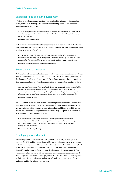# Shared learning and staff development

Working in collaboration provides those working in different parts of the education sector, as well as in industry, with a better understanding of what each other does and where their strengths lie.

*It's given a far greater understanding of what FE does for the universities, and what higher education does for us. I think it's breaking down a lot of preconceived ideas of what each of us did and didn't do.* 

#### Interviewee, City of Glasgow College

Staff within the partnership have the opportunity to learn from each other, developing their knowledge and skills as well as new of ways of working through, for example, being involved in industry-led teaching.

For me, it's aspirational for staff. Some of our engineering staff will be able to have an *industrial experience, simply by working on the MIRA site. That will upskill them, and help them develop their own teaching strategies and knowledge base of future technologies.* 

Interviewee, North Warwickshire and South Leicestershire College

# Strengthening partnerships

All the collaborations featured in this report evolved from existing relationships between educational institutions and industry. Finding new ways to collaborate, including the development of pathways to higher level skills, further strengthens these partnerships. This can, in turn, bring about further opportunities to work together on other projects.

*Anything that further strengthens our already deep engagement with employers is valuable. Bringing in employer organisations that include SMEs and micro businesses is really important for the Lincolnshire economy. Among the many benefits for the university are placement opportunities for our students and opportunities for collaborative research.* 

#### Interviewee, University of Lincoln

New opportunities can also arise as a result of strengthened educational collaborations. This is particularly relevant to pathway development, where colleges and universities are increasingly working together to meet intermediate and higher level skills needs. A successful collaboration forged in one subject area may be replicated in other areas, as is the hope for the Birmingham partnership.

*[The collaboration] allows us to work with a wider range of partners and further develop the relationship with the University of Birmingham, and also, we would hope that some of the areas that we would look to develop in the future would allow us to develop our own curriculum.* 

Interviewee, University College Birmingham

## Developing new partnerships

HE-FE-employer collaborations can also open the door to new partnerships. It is common for HEIs and institutions in the wider tertiary education sector to be working with different employers in different sectors. This is because HE and FE providers tend to engage with employers for different reasons. Universities have traditionally built links with employers around research and development; colleges are more likely to work with local employers to deliver vocational training such as apprenticeships. By coming together, university and college partners can broker introductions to employers in their respective networks to expand their reach and develop new partnerships and opportunities for collaborative working.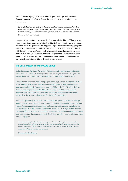Two universities highlighted examples of where partner colleges had introduced them to an employer that had facilitated the development of a new collaboration. For example:

*Burton [College] also has really good links with [employer], the design students have done some advertising set-up stuff, ideas generation for them. We've talked to their management team about coming and doing guest lectures for business because they run a huge business.* 

### Interviewee, Staffordshire University

A number of partners further suggested that these new relationships could have a greater reach by engaging with groups of educational institutions or employers. In the further education sector, colleges have increasingly come together to establish college groups that encompass a large number of students, partners and provision. Collaborating directly with these groups can be of benefit to all partners: universities have access to a larger number of colleges (and therefore students), colleges can utilise the resource of the group as a whole when engaging with employers and universities, and employers can have a single point of contact for their needs at various levels.

## THE OPEN UNIVERSITY AND COLLAB GROUP

Collab Group and The Open University (OU) have recently announced a partnership which hopes to provide UK industry with a seamless progression route to degree level qualifications, smoothing the transition between further and higher education.

Collab Group is a national membership organisation of 37 colleges in England, Scotland, Wales and Northern Ireland. They have links with large levy-paying employers and aim to work collaboratively to address industry skills needs. The OU offers flexible, distance-learning provision and feel that this is a major benefit to large, national employers who are looking for a consistent learning experience across the country. The reach of the OU and Collab partnership is therefore extensive.

For the OU, partnering with Collab streamlines the engagement process with colleges and employers, requiring significantly less resource than making individual connections would. Degree apprenticeships are high on the college and employer agenda, so are the focus of much of their current collaborative work. The OU recognises that it can be challenging for employers to work out how they can get the best out of the apprenticeship levy, and hope that through working with Collab they can offer a clear, flexible and broad offer to employers.

*Providers working together benefits employers – they aren't having to source everything themselves and can rely on a trusted provider to make considered recommendations […] It means [employers] get the most out of their levies and minimise their own need to increase resource working on provider management.* 

Interviewee, The Open University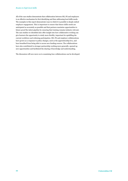All of the case studies demonstrate that collaboration between HE, FE and employers is an effective mechanism for first identifying and then addressing local skills needs. The examples in this report demonstrate ways in which it is possible to deeply embed employer engagement. This is important to ensure that future skills needs are anticipated as accurately as possible and that partners maximise opportunities to future-proof the talent pipeline by ensuring that training remains industry relevant. The case studies we identified also offer insight into how collaborative working can give learners the opportunity to study more flexibly, important for upskilling the current workforce and widening participation. HE, FE and employer collaborations have grown as a response to policy changes, such as the apprenticeship levy, and have benefited from being able to access new funding sources. The collaborations have also contributed to stronger partnership working more generally, opened up new opportunities and facilitated the sharing of knowledge and understanding.

The discussion will now move on to examining *how* collaborations can be developed.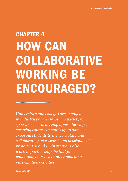# CHAPTER 4 HOW CAN COLLABORATIVE WORKING BE ENCOURAGED?

*Universities and colleges are engaged in industry partnerships in a variety of spaces such as delivering apprenticeships, ensuring course content is up to date, exposing students to the workplace and collaborating on research and development projects. HE and FE institutions also work in partnership, be that for validation, outreach or other widening participation activities.*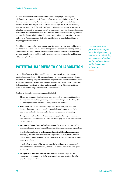What is clear from the snapshot of established and emerging HE-FE-employer collaborations presented here, is that they all grew from pre-existing partnerships. This happened in a variety of ways – from the sharing of employer contacts between universities and their FE partners, to parties coming together to see how they might help address a regional skills need. Collaborations have also developed in response to a funding opportunity or emerging market, or simply as a result of a change in leadership or role at an institution or business. This makes it difficult to recommend a particular route for developing collaborations from, say, HE-FE validation to creating progression pathways, or from an employer delivering guest lectures to formulating a higher or degree apprenticeship course.

But while there may not be a single, or even preferred, way to grow partnerships, there are things that help smooth and support the process. Collaborative working is rarely straightforward or easy. Yet the collaborations featured in this report have developed a strong commitment to building and strengthening their partnerships and have not let barriers get in the way.

# POTENTIAL BARRIERS TO COLLABORATION

Partnerships featured in this report felt that there are actually very few significant barriers to collaborations of this kind, particularly in building partnerships between education and industry. Employers want to develop the talents of their current employees as well as the future workforce, and recognise that they have a role to play in ensuring that educational provision is practical and relevant. However, it is important to be aware of factors that might influence collaborative working.

Challenges that collaborations encountered included:

- **• Time:** working more closely with partners can requires a significant time input for meetings with partners, exploring options for working more closely together and developing formal agreements and governance frameworks.
- **• Language:** HE and FE traditionally operate in different spaces and have developed their own terminology. For example, in one instance a foundation degree was understood differently by the university partner to the college.
- **• Geography:** partnerships that cover large geographical areas, for example in North Wales and Lincolnshire, can be more challenging due to the sheer distance between partners.
- **• Competing demands of multiple partners:** the more partners involved in a collaboration, the greater the need to manage differing demands and expectations.
- **• A lack of established practice around non-traditional programmes:** developing new and innovative courses, programmes or study modes involves breaking new ground – this can be risky and there is often no precedent or good practice to follow.
- **• A lack of awareness of how to successfully collaborate:** examples of successful collaborations involving multiple education partners and employers are limited.
- **• Competition between institutions:** universities and colleges may be competing for students in particular areas or subjects, and may fear the effect of collaboration on intakes.

*The collaborations featured in this report have developed a strong commitment to building and strengthening their partnerships and have not let barriers get in the way.*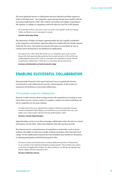The most significant barrier to collaboration between education providers appears to relate to this final point – the competitive space that has become more marked with the increasing marketization of HE. This could be universities and colleges competing for HE students, or colleges in competition with each other for local FE or HE students.

*We've had that in FE for a few years, where we used to work together much more closely, I think, and [then] we were encouraged to compete.* 

#### Interviewee, North Lindsey College

The importance of higher and degree apprenticeships has also arguably contributed to the competitive environment. Apprenticeships have traditionally been firmly situated within the FE sector. Universities moving into this space can sometimes be seen as a threat and be detrimental to the likelihood of collaboration.

*The only barrier is that I think HE and FE are in a competitive space at the moment because the whole apprenticeship agenda has become quite attractive to HE, and that was traditionally the premise of FE. I think, in some places, the competition is greater than the recognition for collaboration. I think there's a real risk for that for both sectors.* 

Interviewee, North Warwickshire and South Leicestershire College

# ENABLING SUCCESSFUL COLLABORATION

All partnerships featured in this report had found ways to negotiate the barriers encountered to work collaboratively towards a shared purpose. In this section we summarise the facilitators of successful collaboration.

# Find suitable areas for collaboration

Partners avoided concerns about working closely with competitors by focusing on areas where there was not a strong overlap, for example, a subject area where institutions are not in competition for the same students.

*In reality, there's three of us, although there might be a little bit of competition between ourselves and South & City [College], not around this area of curriculum there isn't, and neither of us would compete with the University of Birmingham, either.* 

Interviewee, University College Birmingham

Apprenticeships can be an area that encourages collaboration where the aim is to extend and enhance current offers, rather than duplicate what other partners provide.

Recruitment may be a potential source of competition as universities work to attract students who might not otherwise consider studying somewhere other than their local college. Yet the collaborations featured here had identified clear benefits for all partners of widening participation and had shared goals for this.

*If we have a proper partnership and are working collaboratively with our FE [partners], we are working on the widening participation agenda together. Those students who register on the FDAs are Staffordshire students. So, they contribute to our WP agenda. Equally, they help the college with their progression stats.* 

Interviewee, Staffordshire University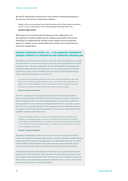HE and FE representatives agreed that to truly commit to widening participation in the local area, this must be a collaborative ambition.

*Maybe we do lose some [students] to each other but because of our broader regional aspiration, we don't worry too much about it. We're educating people collectively in that sense.* 

#### Interviewee, Bangor University

With respect to the education-industry dimension of the collaboration, it is also important to identify suitable areas for working in partnership. This involves identifying and emphasising the benefits for the employer and the educational partners. It could be around a specific skills need or another area of mutual interest, such as the example below.

# FORENSIC INNOVATION CENTRE (FIC) – A COLLABORATIVE PARTNERSHIP BETWEEN UNIVERSITY OF PORTSMOUTH AND HAMPSHIRE CONSTABULARY

The Institute of Criminal Justice Studies at University of Portsmouth has been running a Forensic Studies course for more than 10 years, but without formal links to the police scientific services. Through working more closely with Hampshire Constabulary, the benefits of collaboration for both partners became clear and the police were offered a three-floored state-of-the-art building at the university for their Digital Forensics Group. This opened formally in 2015 as the FIC.

*Austerity and a comprehensive spending review meant that the constabulary, along with others in the UK, had to consider alternative ways to reduce costs. Their motivation was, 'Right, we have reduced budgets. We need to find ways in which we can do more for less'. So, they were motivated to look for partnerships and new ways of working.*

#### Interviewee, University of Portsmouth

The FIC is an innovative and unique partnership and the first operational police forensic research facility in the UK to be based on a University campus. It combines police investigators with an advanced learning facility for researchers, students and serving police staff. Local schools and colleges attend the FIC for open days as part of the University's outreach programme. This is reported to have a significant impact on recruitment to the Forensic Studies programme. The University recruits both A Level and BTEC students to their BSc courses.

*There was a definite need for us to improve the student experience, so that they could actually see what happens in the real world, in the policing arena. That was certainly a motivation, along with keeping our curriculum up to date, in the policing and investigation arena. Things are moving so quickly, almost on a weekly basis now, particularly in regards to the technology and the science.* 

#### Interviewee, University of Portsmouth

Hampshire Constabulary use the centre for some of their own research work and, in return, offer placement and intern opportunities to students. Through mutually beneficial projects in the FIC, students are gaining important, unparalleled experience of working on the frontline of police forensics, while police staff gain access to teaching support and University resources which can help with their own professional development.

Additionally, Hampshire Constabulary has instant access to a pool of potential future employees who have been fully vetted, trained to its own specifications and, in some cases, taught or mentored by police staff. The University is now starting to see some of their students achieving full-time employment with the police as a direct result of their immersive work experience during their studies.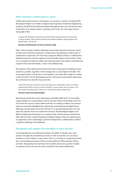## Work towards a shared goal or vision

Collaborations that focused on developing a new product or model of working (MTI, Birmingham Higher Level Skills in Engineering Programme, Strathclyde Engineering Academy) all felt that this had been facilitated through having a clear and shared vision of what they were trying to achieve, agreeing on this in the very early stages and not losing sight of that.

*I suppose the challenge has been how you hold steady a group of partners and you find a way of working. That's all been focused around shared ambition, shared purpose and shared values, to be honest.* 

#### Interviewee, North Warwickshire and South Leicestershire College

Often, what is needed to address skills gaps and provide progression pathways cannot be delivered by individual institutions working alone. Recognising the added-value of collaboration is important. The University Campus St Albans (UCSA) is a collaboration designed around the need for employer-focused, flexible, degree-level provision. There was a recognition by both the college and university partner that neither could effectively respond to this need individually, so they work collaboratively.

The majority of the collaborations featured here had a shared goal of enabling as many students as possible, regardless of their background, to access higher level skills. This encouraged partners to find ways to work together, even where there might be overlaps in their provision. For the Birmingham partners, this goal was particularly salient given the involvement of a Russell Group university.

*I hope this is the case and in four years' time I hope we're celebrating it, that we will have students that will have come to us with no GCSEs, no exam results, who in six years, will have made it to getting a first, I hope, at a red brick university in engineering.*

### Interviewee, South & City College Birmingham

Shared goals should also involve addressing an identified skills need. To successfully engage employers in a partnership, it must be relevant to them. Partnerships need to be clear about the current or future skills needs they are seeking to address. Government policy has repeatedly highlighted the engineering, manufacturing and digital future skills gaps (among others) across the UK and so it is unsurprising that this is an area where the majority of the case studies have focused. The Birmingham Higher Level Skills in Engineering Programme is an example of this. All three partners already had links with each other, mostly through the awarding of degrees. They saw engineering as an opportunity where relationships could be developed into a collaboration to address a significant skills gap in the Midlands.

## Recognise and respect the strengths of each partner

A vital ingredient for successful partnerships is the ability to identify where each partner's strengths lie and build the provision or offer around this. It is not always possible to avoid working in a space where there is no overlap or competing provision due to the breadth and amount of HE now being offered in FECs and other tertiary providers. Recognising and respecting where another partner has a greater strength or expertise may not be easy but can be essential for successful collaboration.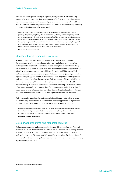Partners might have particular subject expertise, be experienced in certain delivery models or be better at catering for a particular type of student. Even where institutions have similar subject offerings, the nature of provision can be very different. Identifying what is distinctive about each partner's contribution and how they can be complementary can be key to developing an effective partnership.

*Initially, when we first started working with [Liverpool Media Academy], we did have precisely that, 'If they're offering BAs in acting, we've got acting here at Staffs, why aren't we just saying to them for their HE provision, send it all here.' When you actually go to LMA and you talk to the students and you talk to the staff there […] the type of work that they do, the type of progression they have for their students is a really strong regional offering, and it's a very specific curriculum, a very specific way of working which is really beneficial for their students. It is complementary with what we do, absolutely.* 

Interviewee, Staffordshire University

# Identify potential progression pathways

Mapping provision across a region can be an effective way to begin to identify the particular strengths and contributions of partners and where clear progression pathways can be established. This not only helps to strengthen collaborative working but encourages progression to higher level skills. For example, mapping apprenticeship offers in a particular subject between Middlesex University and CCCG has enabled partners to identify opportunities to progress students from Level 3 at college through to higher and degree apprenticeships at the university. Such progression pathways benefit both institutions – the college has progressed their learners on to higher level skills and the university has brought new students into their course. Being clear about these benefits can help to encourage collaboration. Middlesex University has created a website called Make Your Mark,<sup>22</sup> which maps the different pathways to higher level skills and employment in different sectors. It is important that vocational and academic pathways are not treated as separate entities and there is significant potential for crossover.

Pathways are also important for contributing to the widening participation agenda. Where this is a particular focus of collaboration, identifying pathways to higher level skills for students from non-traditional backgrounds is particularly important.

*One of the main things we wanted to try and do when we're thinking about how we develop the UCB partnership was to think about how we can strengthen pathways between, particularly FE and HE or from less traditional HE backgrounds into Russell Group.* 

Interviewee, University of Birmingham

## Be clear about the time and resources required

Collaborations take time and resource to develop and this can be a barrier. Financial incentives can mean that this time is considered less of a risk and can encourage partners to invest the time in working more closely together. Centrally funded initiatives, such as the Institute of Technology (IoT) model, have incentivised collaboration and encouraged existing partnerships to consider how they might work more closely to develop a product in response to this.

<sup>22</sup> <https://makeyourmark.mdx.ac.uk/>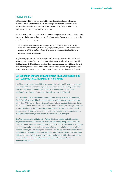## Involve the LEP

LEPs and other skills bodies can help to identify skills needs and potential sources of funding. LEPs have been involved in the development of several of the case study collaborations. The MTI was developed following research by Leicestershire LEP that highlighted a gap in automotive skills in the area.

Working with a LEP not only ensures that educational provision is relevant to local needs but can also help to strengthen links with local and regional employers and bring further opportunities for working together.

*We've got very strong links with our Local Enterprise Partnership. We have worked very closely with them and that's given us a lot of employer engagement so we've been able to set up meetings with joint leaders to discuss different apprenticeships and wider skills needs.* 

### Interviewee, University of Hertfordshire

Employer engagement can also be strengthened by working with other skills bodies and agencies, either regionally or by sector. University Campus St Albans has close links with the Building Research Establishment to deliver their construction degrees; Middlesex University is collaborating with the West London Skills Alliance, which looks at the specifics of skills needs in that particular area and can link them with employers who have a specific need.

# LEP EDUCATION-EMPLOYER COLLABORATION PILOT: WORCESTERSHIRE LEP TECHNICAL SKILLS PARTNERSHIP PROGRAMME

Local Enterprise Partnerships (LEPs) have strong relationships with local employers and an in-depth understanding of the regional skills needs in the area. Building partnerships between LEPs and educational institutions can encourage education-employer collaborations and ensure that they are focused on a specific skills need.

Worcestershire LEP's current Employment and Skills Strategy stresses that addressing the skills challenges faced locally starts in schools, with business engagement being key to this. STEM is a key theme reflecting the current shortage in technical and digital skills, and the future demand as a result of fast-moving technological change. Objectives to meet this challenge include creating an entrepreneurial culture, STEM-themed competitions, offering internships for 16- to 18-year-olds and developing pathways for young people to encourage them into work with local STEM employers.

The Worcestershire Local Enterprise Partnership is developing a pilot Internship programme under the Worcestershire Technical Skills Partnership, linking two local 16–18 providers with a range of employers. An initial cohort of 20 students – 10 studying Level 3 vocational courses, and 10 studying A Levels – start in September 2018. All students will be given an employer mentor and have the opportunity to undertake work placements and complete real life projects over their two year studies. The internship will support young people to engage with local employers, consider the opportunities careers in STEM can bring, and support them to consider higher education or apprenticeship options.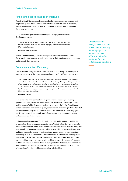# Find out the specific needs of employers

As well as identifying skills needs, successful collaborations also need to understand employers' specific needs. This includes curriculum content, level of provision, delivery mode and whether the need is for training new talent and/or upskilling the current workforce.

In the case studies presented here, employers are engaged in the course development process.

*To us as a university is, I guess, connecting with the sector, and making sure that the education provision that we are supplying is relevant and up to date. That's really important.* 

Interviewee, Coventry University

The MTI and LIT among others have designed their models around addressing the particular needs of employees, both in terms of their requirements for new talent and to upskill their workforce.

# Communicate the offer clearly

Universities and colleges need to devote time to communicating with employers to increase awareness of the opportunities available through collaborating with them.

*…do I think every company out there knows that they can have that sort of relationship? Probably not… I've basically created this huge colourful map showing all the different levels of qualifications for each function, function by function, just so I can go to people and say 'Right, you want to do a Level 2, look at all these potential routes for you to get to Level 7.' You know, when you say that to people they're like, 'Wow, that's what I want to do,' so I'm like 'Well, that's what we'll do.'* 

#### Interviewee, Bakkavor

In this case, the employer has taken responsibility for mapping the varying qualifications and progression routes available to employees. MTI has produced a 'skills escalator' which demonstrates clearly to employers the levels of qualifications and progression on offer so that they can gauge which are most appropriate for their staff (see the accompanying case study report). HE-FE collaborations can offer employers provision across the levels of study, and helping employers to understand, navigate and communicate this is valuable.

Collaborations have developed locally and organically and it is often a combination of factors that drives these partnerships forward. While it is therefore not possible to recommend a blueprint for an effective route to such collaborations, there are things that help smooth and support the process. Collaborative working is rarely straightforward and there is scope for lessons to be learned and made available to encourage those embarking on such collaborations. Perceived barriers to collaborative working could be an issue for some organisations; there are very real challenges to be overcome for partners willing to strengthen their relationships, particularly the level of resource that this can require. However, it was encouraging to find that educational institutions and businesses had worked out how best to face these challenges and had a number of suggestions for others wishing to strengthen relationships.

*Universities and colleges need to devote time to communicating with employers to increase awareness of the opportunities available through collaborating with them.*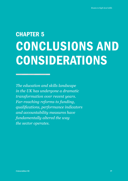# CHAPTER 5 CONCLUSIONS AND CONSIDERATIONS

*The education and skills landscape in the UK has undergone a dramatic transformation over recent years. Far-reaching reforms to funding, qualifications, performance indicators and accountability measures have fundamentally altered the way the sector operates.*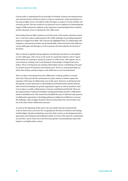Current policy is underpinned by the principles of freedom, fairness and responsiveness and characterised by ambitious targets to improve attainment, widen participation in learning at higher levels, and address skills shortages in support of social mobility and economic growth. This has resulted in an enhanced role for employers in determining the supply of skills and greater emphasis on the importance of partnership between industry and the education sector in meeting the UK's skills needs.

Partnerships between HEIs, businesses and other parts of the tertiary education system have a vital role to play in addressing the UK's skills challenges by providing integrated pathways to higher level skills. This research has highlighted that, by collaborating with employers, educational providers can develop flexible, tailored provision that addresses current skills gaps and shortages as well as prepares the talent pipeline for the jobs of the future.

There is clearly an appetite among employers and education providers to work together to solve skills gaps, with a focus on the needs of a particular industry and/or region. Partnerships are starting to emerge in response to skills needs, with support and, in some instances, funding, from Local Enterprise Partnerships in England and sector bodies. All are evolving from pre-existing relationships and are contributing to the goal of a joined-up post-18 education and training sector. However, most partnerships are still in their infancy and their impact on the skills base is yet to be determined.

There are three overarching drivers for collaborative working: political, economic and social. These provide the mechanisms for policy makers to further support the expansion of the types of collaboration seen in this report. However, in driving forward this agenda, it is also important to acknowledge the potential barriers and the inherent risks involved in breaking new ground. Appropriate support, as well as incentives, need to be in place to enable collaborations to become established and flourish. There are also opportunities to build and strengthen existing partnerships and drive collaboration based on identified need. This research has identified the ways in which the early pioneers of collaborative approaches to developing pathways to higher level skills have overcome the challenges. These insights should be shared to help inform the work of others who are at the start of their collaborative journeys.

As noted at the beginning of this report, the case studies that have informed this work are drawn from across the UK, recognising the diversity of initiatives and settings, and that higher education institutions across the whole country are developing innovative approaches and looking beyond traditional models. In terms of the issues for consideration set out below, much of this area is devolved and specific recommendations made refer largely to an English policy context.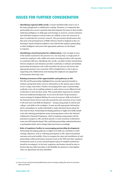# ISSUES FOR FURTHER CONSIDERATION

- **• Identifying regional skills needs:** A clearly identified skills need is one of the main springboards to collaborative working. Therefore, it is important that partnerships have access to granular data that pinpoints the issues in their locality. Gathering intelligence on skills gaps and shortages is, however, resource intensive and individual employers and providers are unlikely to have the resources in place to undertake the necessary research. The government should ensure that this issue is the principal focus of Skills Advisory Panels in England as they are developed. Panels should be enabled to work with FE-HE-employer partnerships to share intelligence and ensure that appropriate pathways are developed in response.
- **• Identifying a local focal point for collaboration:** A key strength of some of the models examined is the presence of a 'one stop shop' or single point of contact for employers with a skills need and/or learning providers with expertise in a particular skill area. Identifying who, locally, can help to broker introductions between employers and education providers could help co-ordinate and facilitate partnership development and would streamline the process and ensure that appropriate partners were connected. LEPs in England have a role to play in supporting such collaborations and ensuring that employers are signposted to focal points where they exist.
- **• Raising awareness of the opportunities and pathways to HE:** The HE and FE partnerships highlighted here provide important benefits to students, giving them better access to information on the options open to them across a range of providers. Further encouraging these types of partnerships could play a key role in enabling students to make choices across different levels of education to best suit their needs. This is particularly important for students from non-traditional backgrounds. As set out in the latest UK government's careers strategy for England *Making the most of everyone's skills and talents*, 23 the National Careers Service must also proactively raise awareness of new routes to HE and career and skills development – among young people in schools and colleges, and adults in the workplace. It must provide appropriate information, advice and guidance to enable individuals to make informed choices about the best route for them. Partnerships developing pathways to higher level skills should work with widening participation teams and programmes such as the National Collaborative Outreach Programme, which is targeting young people with the potential to progress to HE, and their parents, to raise awareness of alternative routes into HE being developed. This could help partnerships understand barriers to participation better and so design tailored provision accordingly.
- **• Role of regulatory bodies in encouraging partnership development:** Partnerships developing pathways to higher level skills can contribute to wider strategic objectives, such as widening participation in HE, improved graduate outcomes and social mobility. Ways to recognise the value and contribution of such partnerships within performance measures (such as the TEF) and other regulatory mechanisms (such as access and participation plans for English institutions) should be investigated. At the least, regulators and funders should be alert to barriers that may stifle innovation or the flexibility for partners to work together where an opportunity has been identified.

<sup>23</sup> See [www.gov.uk/government/publications/careers-strategy-making-the-most-of-everyones](https://www.gov.uk/government/publications/careers-strategy-making-the-most-of-everyones-skills-and-talents)[skills-and-talents](https://www.gov.uk/government/publications/careers-strategy-making-the-most-of-everyones-skills-and-talents)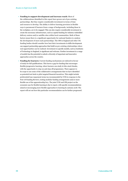- **• Funding to support development and increase reach:** Most of the collaborations identified in this report have grown out of pre-existing partnerships. But they require considerable investment in terms of time and resource to develop. The ability to deliver learning provision in flexible ways is paramount if learners from a range of backgrounds, including those in the workplace, are to be engaged. This can also require considerable investment to create the necessary infrastructure, such as capital funding for industry-embedded delivery centres and/or satellite sites within local communities. Both of these factors mean there is a significant opportunity for national funders to catalyse the development of more such partnerships. The OfS in England and other UK funding bodies should consider how best their investments in skills development can support partnership approaches that build on pre-existing relationships where real opportunities can be realised. Investment in specific models, such as Institutes of Technology in England, is significant and welcome. Further investment in a range of models has the potential to unlock a diversity of important and innovative approaches across the country.
- **• Funding for learners:** Current funding mechanisms are tailored in favour of study for full qualifications. This leaves a gap for funding that encourages flexible/progressive learning, where learners can study in bite-sized chunks, with the opportunity to step-on and step-off programmes. There appears to be scope to use some of the collaborative arrangements that we have identified as potential test-beds to pilot targeted financial incentives. This might include preferential loan repayment terms (as recommended by UUK in response to the Post-18 Funding Review), testing modular funding arrangements and/or more flexible use of the apprenticeship levy. The joint UUK and CBI project on the economic case for flexible learning is due to report, with specific recommendations aimed at encouraging more flexible approaches to learning by autumn 2018. The report will set out how this particular recommendation can be further progressed.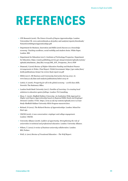# REFERENCES

- **•** CFE Research (2016). *The Future Growth of Degree Apprenticeships*. London: Universities UK. [www.universitiesuk.ac.uk/policy-and-analysis/reports/downloads/](http://www.universitiesuk.ac.uk/policy-and-analysis/reports/downloads/FutureGrowthDegreeApprenticeships.pdf) [FutureGrowthDegreeApprenticeships.pdf](http://www.universitiesuk.ac.uk/policy-and-analysis/reports/downloads/FutureGrowthDegreeApprenticeships.pdf)
- **•** Department for Business, Innovation and Skills (2016) *Success as a knowledge economy: Teaching excellence, social mobility and student choice*. White Paper. London: BIS.
- **•** Department for Education (2017). *Institutes of Technology Prospectus*. Department for Education. [https://assets.publishing.service.gov.uk/government/uploads/system/](https://assets.publishing.service.gov.uk/government/uploads/system/uploads/attachment_data/file/710149/DfE_IOT_Prospectus_Nov17.PDF) [uploads/attachment\\_data/file/710149/DfE\\_IOT\\_Prospectus\\_Nov17.PDF](https://assets.publishing.service.gov.uk/government/uploads/system/uploads/attachment_data/file/710149/DfE_IOT_Prospectus_Nov17.PDF)
- **•** Diamond, I (2016) *Review of Higher Education Funding and Student Finance Arrangements in Wales: Final Report.* Welsh Government. [https://gov.wales/docs/](https://gov.wales/docs/dcells/publications/160927-he-review-final-report-en.pdf) [dcells/publications/160927-he-review-final-report-en.pdf](https://gov.wales/docs/dcells/publications/160927-he-review-final-report-en.pdf)
- **•** HESA (2017). *HE Business and Community Interaction Survey 2015–16*. [www.hesa.ac.uk/data-and-analysis/publications/hebci-2015-16](https://www.hesa.ac.uk/data-and-analysis/publications/hebci-2015-16)
- **•** Leitch, S. (2006). *Prosperity for all in the global economy world class skills*. Norwich: The Stationery Office.
- **•** London South Bank University (2017). *Families of Learning: Co-creating local solutions to education system failings*. London: PA Consulting.
- **•** Moss, C. (2016). *Sheffield Hallam University: An Institution Wide Approach to Higher and Degree Apprenticeship based on Regional Skills Needs and Employer Demand*. London: UVAC. [https://uvac.ac.uk/wp-content/uploads/2017/11/Case-](https://uvac.ac.uk/wp-content/uploads/2017/11/Case-Study-Sheffield-Hallam-University-HDA-Progress-mar2016.docx)[Study-Sheffield-Hallam-University-HDA-Progress-mar2016.docx](https://uvac.ac.uk/wp-content/uploads/2017/11/Case-Study-Sheffield-Hallam-University-HDA-Progress-mar2016.docx)
- **•** Richard, D (2012). *The Richard Review of Apprenticeships*. London: School for Start-ups.
- **•** UKCES (2016). *A new conversation: employer and college engagement.* London: UKCES.
- **•** University Alliance (2018). *Ladders of opportunity: Strengthening the role of universities in technical and professional education*. London: University Alliance.
- **•** Wilson, T. (2012) *A review of business-university collaboration*. London: BIS, Preface.
- **•** Wolf, A. (2011) *Review of Vocational Education The Wolf Report*.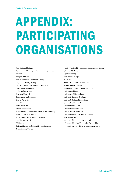# APPENDIX: PARTICIPATING ORGANISATIONS

Association of Colleges Association of Employment and Learning Providers Bakkavor Bangor University Burton and South Derbyshire College Capital City College Group Centre for Vocational Education Research City of Glasgow College Collab College Group Coventry University Department for Education Exeter University GuildHE HORIBA MIRA Jarvis Construction Leicester and Leicestershire Enterprise Partnership Liverpool Media Academy Local Enterprise Partnership Network Middlesex University MillionPlus National Centre for Universities and Business North Lindsey College

North Warwickshire and South Leicestershire College Office for Students Open University Reaseheath College Royal Mail South & City College Birmingham Staffordshire University The Education and Training Foundation University Alliance University of Birmingham University Campus St Albans University College Birmingham University of Hertfordshire University of Lincoln University of Portsmouth University of Strathclyde University Vocational Awards Council VINCI Construction Worcestershire Apprenticeship Hub Worcestershire Local Enterprise Partnership [+1 employer who wished to remain anonymous]